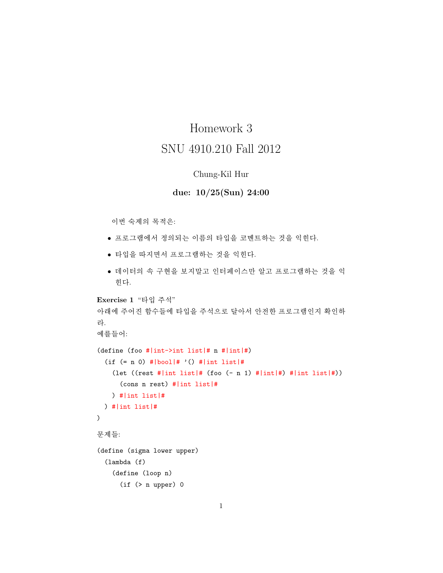## Homework 3 SNU 4910.210 Fall 2012

## Chung-Kil Hur

## due:  $10/25(Sun)$  24:00

이번 숙제의 목적은:

- 프로그램에서 정의되는 이름의 타입을 코멘트하는 것을 익힌다.
- 타입을 따지면서 프로그램하는 것을 익힌다.
- 데이터의 속 구현을 보지말고 인터페이스만 알고 프로그램하는 것을 익 힌다.

```
Exercise 1 "타입 주석"
아래에 주어진 함수들에 타입을 주석으로 달아서 안전한 프로그램인지 확인하
라.
예를들어:
(define (foo #|int->int list|# n #|int|#)
  (if (= n 0) #|bool|# '() #|int list|#(let ((rest #|int list|# (foo (- n 1) #|int #) #|int list|#))
     (cons n rest) # | int list | #
   ) #lint listl#
 ) # | int list | #
\mathcal{L}문제들:
(define (sigma lower upper)
  (lambda (f))(define (loop n)
```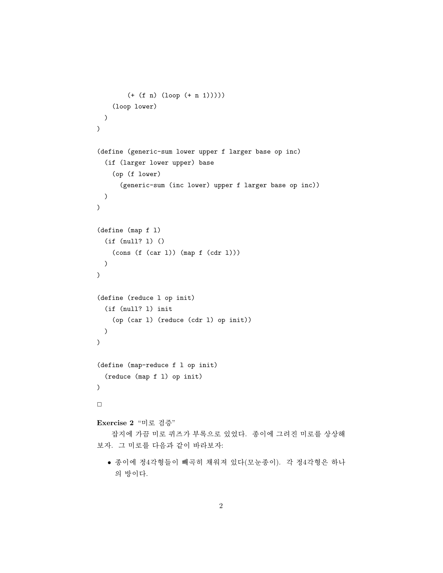```
(+ (f n) (loop (+ n 1))))(loop lower)
  \mathcal{L}\mathcal{L}(define (generic-sum lower upper f larger base op inc)
  (if (larger lower upper) base
    (op (f lower)
      (generic-sum (inc lower) upper f larger base op inc))
  \mathcal{L}\mathcal{L}(define (map f 1)(if (null? 1) ()(cons (f (car 1)) (map f (cdr 1)))\mathcal{L}\mathcal{L}(define (reduce 1 op init)
  (if (null? 1) init)(op (car 1) (reduce (cdr 1) op init))
  \mathcal{L}\mathcal{L}(define (map-reduce f l op init)
  (reduce (map f 1) op init)
\lambda\BoxExercise 2 "미로 검증"
    잡지에 가끔 미로 퀴즈가 부록으로 있었다. 종이에 그려진 미로를 상상해
보자. 그 미로를 다음과 같이 바라보자:
```
● 종이에 정4각형들이 빼곡히 채워져 있다(모눈종이). 각 정4각형은 하나 의 방이다.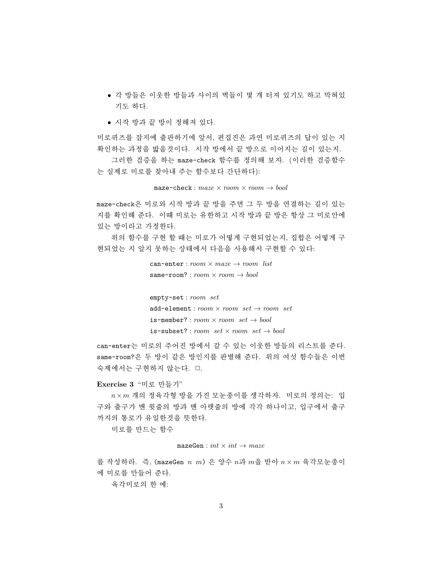- 각 방들은 이웃한 방들과 사이의 벽들이 몇 개 터져 있기도 하고 막혀있 기도 하다.
- 시작 방과 끝 방이 정해져 있다.

미로퀴즈를 잡지에 출판하기에 앞서, 편집진은 과연 미로퀴즈의 답이 있는 지 확인하는 과정을 밟을것이다. 시작 방에서 끝 방으로 이어지는 길이 있는지.

그러한 검증을 하는 maze-check 함수를 정의해 보자. (이러한 검증함수 는 실제로 미로를 찾아내 주는 함수보다 간단하다):

maze-check:  $maxe \times room \times room \rightarrow bool$ 

maze-check은 미로와 시작 방과 끝 방을 주면 그 두 방을 연결하는 길이 있는 지를 확인해 준다. 이때 미로는 유한하고 시작 방과 끝 방은 항상 그 미로안에 있는 방이라고 가정한다.

위의 함수를 구현 할 때는 미로가 어떻게 구현되었는지, 집합은 어떻게 구 현되었는 지 알지 못하는 상태에서 다음을 사용해서 구현할 수 있다:

```
can-enter : room \times max \rightarrow room list
same-room?: room \times room \rightarrow bool
```
 $empty-set: room \ set$ add-element:  $room \times room \ set \rightarrow room \ set$ is-member?:  $room \times room \ set \rightarrow bool$ is-subset?: room  $set \times room \ set \rightarrow bool$ 

can-enter는 미로의 주어진 방에서 갈 수 있는 이웃한 방들의 리스트를 주다. same-room?은 두 방이 같은 방인지를 판별해 준다. 위의 여섯 함수들은 이번 숙제에서는 구현하지 않는다. 口.

## Exercise 3 "미로 만들기"

 $n \times m$  개의 정육각형 방을 가진 모눈종이를 생각하자. 미로의 정의는: 입 구와 출구가 맨 윗줄의 방과 맨 아랫줄의 방에 각각 하나이고, 입구에서 출구 까지의 통로가 유일한것을 뜻한다.

미로를 만드는 함수

 $\mathtt{mazeGen}: \mathit{int} \times \mathit{int} \rightarrow \mathit{maze}$ 

를 작성하라. 즉, (mazeGen  $n$  m) 은 양수  $n\rightarrow m$ 을 받아  $n\times m$  육각모눈종이 에 미로를 만들어 준다. 육각미로의 한 예: